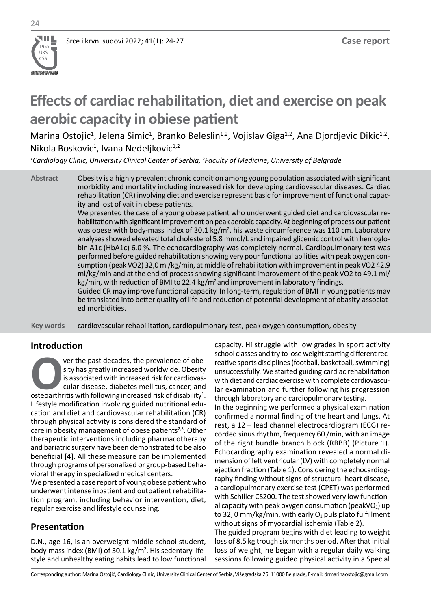# **Effects of cardiac rehabilitation, diet and exercise on peak aerobic capacity in obiese patient**

Marina Ostojic<sup>1</sup>, Jelena Simic<sup>1</sup>, Branko Beleslin<sup>1,2</sup>, Vojislav Giga<sup>1,2</sup>, Ana Djordjevic Dikic<sup>1,2</sup>, Nikola Boskovic<sup>1</sup>, Ivana Nedeljkovic<sup>1,2</sup>

*1 Cardiology Clinic, University Clinical Center of Serbia, <sup>2</sup> Faculty of Medicine, University of Belgrade*

Obesity is a highly prevalent chronic condition among young population associated with significant morbidity and mortality including increased risk for developing cardiovascular diseases. Cardiac rehabilitation (CR) involving diet and exercise represent basic for improvement of functional capacity and lost of vait in obese patients. **Abstract**

We presented the case of a young obese patient who underwent guided diet and cardiovascular rehabilitation with significant improvement on peak aerobic capacity. At beginning of process our patient was obese with body-mass index of 30.1 kg/m<sup>2</sup>, his waste circumference was 110 cm. Laboratory analyses showed elevated total cholesterol 5.8 mmol/L and impaired glicemic control with hemoglobin A1c (HbA1c) 6.0 %. The echocardiography was completely normal. Cardiopulmonary test was performed before guided rehabilitation showing very pour functional abilities with peak oxygen consumption (peak VO2) 32,0 ml/kg/min, at middle of rehabilitation with improvement in peak VO2 42.9 ml/kg/min and at the end of process showing significant improvement of the peak VO2 to 49.1 ml/  $kg/min$ , with reduction of BMI to 22.4  $kg/m<sup>2</sup>$  and improvement in laboratory findings.

Guided CR may improve functional capacity. In long-term, regulation of BMI in young patients may be translated into better quality of life and reduction of potential development of obasity-associated morbidities.

cardiovascular rehabilitation, cardiopulmonary test, peak oxygen consumption, obesity **Key words** 

## **Introduction**

**OCCES** of the past decades, the prevalence of obe-<br>sity has greatly increased worldwide. Obesity<br>is associated with increased risk for cardiovas-<br>cular disease, diabetes mellitus, cancer, and<br>osteoarthritis with following sity has greatly increased worldwide. Obesity is associated with increased risk for cardiovascular disease, diabetes mellitus, cancer, and Lifestyle modification involving guided nutritional education and diet and cardiovascular rehabilitation (CR) through physical activity is considered the standard of care in obesity management of obese patients<sup>2,3</sup>. Other therapeutic interventions including pharmacotherapy and bariatric surgery have been demonstrated to be also beneficial [4]. All these measure can be implemented through programs of personalized or group-based behavioral therapy in specialized medical centers.

We presented a case report of young obese patient who underwent intense inpatient and outpatient rehabilitation program, including behavior intervention, diet, regular exercise and lifestyle counseling.

## **Presentation**

D.N., age 16, is an overweight middle school student, body-mass index (BMI) of 30.1 kg/m<sup>2</sup>. His sedentary lifestyle and unhealthy eating habits lead to low functional

capacity. Hi struggle with low grades in sport activity school classes and try to lose weight starting different recreative sports disciplines (football, basketball, swimming) unsuccessfully. We started guiding cardiac rehabilitation with diet and cardiac exercise with complete cardiovascular examination and further following his progression through laboratory and cardiopulmonary testing. In the beginning we performed a physical examination confirmed a normal finding of the heart and lungs. At rest, a 12 – lead channel electrocardiogram (ECG) recorded sinus rhythm, frequency 60 /min, with an image of the right bundle branch block (RBBB) (Picture 1). Echocardiography examination revealed a normal dimension of left ventricular (LV) with completely normal ejection fraction (Table 1). Considering the echocardiography finding without signs of structural heart disease, a cardiopulmonary exercise test (CPET) was performed with Schiller CS200. The test showed very low functional capacity with peak oxygen consumption (peakVO<sub>2</sub>) up to 32, 0 mm/kg/min, with early  $O_2$  puls plato fulfillment without signs of myocardial ischemia (Table 2).

The guided program begins with diet leading to weight loss of 8.5 kg trough six months period. After that initial loss of weight, he began with a regular daily walking sessions following guided physical activity in a Special

Corresponding author: Marina Ostojić, Cardiology Clinic, University Clinical Center of Serbia, Višegradska 26, 11000 Belgrade, E-mail: drmarinaostojic@gmail.com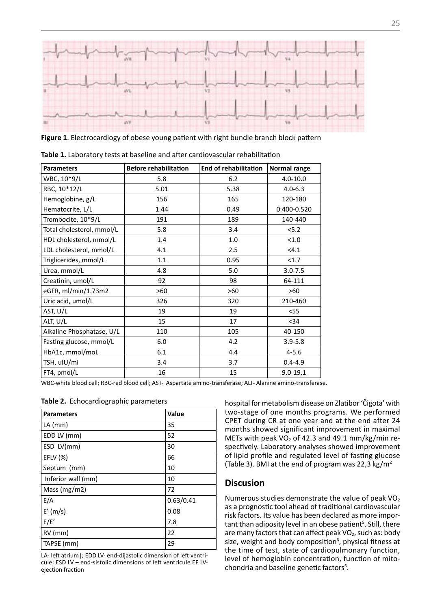

**Figure 1**. Electrocardiogy of obese young patient with right bundle branch block pattern

| <b>Parameters</b>         | <b>Before rehabilitation</b> | <b>End of rehabilitation</b> | Normal range |
|---------------------------|------------------------------|------------------------------|--------------|
| WBC, 10*9/L               | 5.8                          | 6.2                          | $4.0 - 10.0$ |
| RBC, 10*12/L              | 5.01                         | 5.38                         | $4.0 - 6.3$  |
| Hemoglobine, g/L          | 156                          | 165                          | 120-180      |
| Hematocrite, L/L          | 1.44                         | 0.49                         | 0.400-0.520  |
| Trombocite, 10*9/L        | 191                          | 189                          | 140-440      |
| Total cholesterol, mmol/L | 5.8                          | 3.4                          | 5.2          |
| HDL cholesterol, mmol/L   | 1.4                          | 1.0                          | < 1.0        |
| LDL cholesterol, mmol/L   | 4.1                          | 2.5                          | < 4.1        |
| Triglicerides, mmol/L     | 1.1                          | 0.95                         | <1.7         |
| Urea, mmol/L              | 4.8                          | 5.0                          | $3.0 - 7.5$  |
| Creatinin, umol/L         | 92                           | 98                           | 64-111       |
| eGFR, ml/min/1.73m2       | >60                          | >60                          | >60          |
| Uric acid, umol/L         | 326                          | 320                          | 210-460      |
| AST, U/L                  | 19                           | 19                           | $<$ 55       |
| ALT, U/L                  | 15                           | 17                           | $34$         |
| Alkaline Phosphatase, U/L | 110                          | 105                          | 40-150       |
| Fasting glucose, mmol/L   | 6.0                          | 4.2                          | $3.9 - 5.8$  |
| HbA1c, mmol/moL           | 6.1                          | 4.4                          | $4 - 5.6$    |
| TSH, uIU/ml               | 3.4                          | 3.7                          | $0.4 - 4.9$  |
| FT4, pmol/L               | 16                           | 15                           | $9.0 - 19.1$ |

**Table 1.** Laboratory tests at baseline and after cardiovascular rehabilitation

WBC-white blood cell; RBC-red blood cell; AST- Aspartate amino-transferase; ALT- Alanine amino-transferase.

|  | Table 2. Echocardiographic parameters |  |  |
|--|---------------------------------------|--|--|
|--|---------------------------------------|--|--|

| <b>Parameters</b>  | Value     |
|--------------------|-----------|
| $LA$ (mm)          | 35        |
| EDD LV (mm)        | 52        |
| ESD LV(mm)         | 30        |
| EFLV (%)           | 66        |
| Septum (mm)        | 10        |
| Inferior wall (mm) | 10        |
| Mass ( $mg/m2$ )   | 72        |
| E/A                | 0.63/0.41 |
| $E'$ (m/s)         | 0.08      |
| E/E'               | 7.8       |
| RV (mm)            | 22        |
| TAPSE (mm)         | 29        |

LA- left atrium|; EDD LV- end-dijastolic dimension of left ventricule; ESD LV – end-sistolic dimensions of left ventricule EF LVejection fraction

hospital for metabolism disease on Zlatibor 'Čigota' with two-stage of one months programs. We performed CPET during CR at one year and at the end after 24 months showed significant improvement in maximal METs with peak  $VO<sub>2</sub>$  of 42.3 and 49.1 mm/kg/min respectively. Laboratory analyses showed improvement of lipid profile and regulated level of fasting glucose (Table 3). BMI at the end of program was 22,3 kg/m<sup>2</sup>

#### **Discusion**

Numerous studies demonstrate the value of peak  $VO<sub>2</sub>$ as a prognostic tool ahead of traditional cardiovascular risk factors. Its value has been declared as more important than adiposity level in an obese patient<sup>5</sup>. Still, there are many factors that can affect peak  $VO<sub>2</sub>$ , such as: body size, weight and body composition<sup>6</sup>, physical fitness at the time of test, state of cardiopulmonary function, level of hemoglobin concentration, function of mitochondria and baseline genetic factors<sup>6</sup>.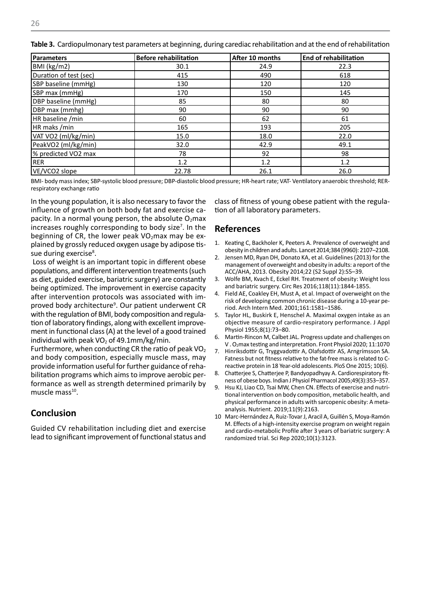| <b>Parameters</b>      | <b>Before rehabilitation</b> | After 10 months | <b>End of rehabilitation</b> |
|------------------------|------------------------------|-----------------|------------------------------|
| BMI (kg/m2)            | 30.1                         | 24.9            | 22.3                         |
| Duration of test (sec) | 415                          | 490             | 618                          |
| SBP baseline (mmHg)    | 130                          | 120             | 120                          |
| SBP max (mmHg)         | 170                          | 150             | 145                          |
| DBP baseline (mmHg)    | 85                           | 80              | 80                           |
| DBP max (mmhg)         | 90                           | 90              | 90                           |
| HR baseline /min       | 60                           | 62              | 61                           |
| HR maks /min           | 165                          | 193             | 205                          |
| VAT VO2 (ml/kg/min)    | 15.0                         | 18.0            | 22.0                         |
| PeakVO2 (ml/kg/min)    | 32.0                         | 42.9            | 49.1                         |
| % predicted VO2 max    | 78                           | 92              | 98                           |
| RER                    | 1.2                          | 1.2             | 1.2                          |
| VE/VCO2 slope          | 22.78                        | 26.1            | 26.0                         |

**Table 3.** Cardiopulmonary test parameters at beginning, during carediac rehabilitation and at the end of rehabilitation

BMI- body mass index; SBP-systolic blood pressure; DBP-diastolic blood pressure; HR-heart rate; VAT- Ventilatory anaerobic threshold; RERrespiratory exchange ratio

In the young population, it is also necessary to favor the influence of growth on both body fat and exercise capacity. In a normal young person, the absolute  $O<sub>2</sub>$ max increases roughly corresponding to body size<sup>7</sup>. In the beginning of CR, the lower peak  $VO<sub>2</sub>$ max may be explained by grossly reduced oxygen usage by adipose tissue during exercise<sup>8</sup>.

 Loss of weight is an important topic in different obese populations, and different intervention treatments (such as diet, guided exercise, bariatric surgery) are constantly being optimized. The improvement in exercise capacity after intervention protocols was associated with improved body architecture<sup>9</sup>. Our patient underwent CR with the regulation of BMI, body composition and regulation of laboratory findings, along with excellent improvement in functional class (A) at the level of a good trained individual with peak  $VO<sub>2</sub>$  of 49.1mm/kg/min.

Furthermore, when conducting CR the ratio of peak  $VO<sub>2</sub>$ and body composition, especially muscle mass, may provide information useful for further guidance of rehabilitation programs which aims to improve aerobic performance as well as strength determined primarily by muscle mass $10$ .

# **Conclusion**

Guided CV rehabilitation including diet and exercise lead to significant improvement of functional status and class of fitness of young obese patient with the regulation of all laboratory parameters.

#### **References**

- Keating C, Backholer K, Peeters A. Prevalence of overweight and obesity in children and adults. Lancet 2014;384 (9960): 2107–2108.
- 2. Jensen MD, Ryan DH, Donato KA, et al. Guidelines (2013) for the management of overweight and obesity in adults: a report of the ACC/AHA, 2013. Obesity 2014;22 (S2 Suppl 2):S5–39.
- 3. Wolfe BM, Kvach E, Eckel RH. Treatment of obesity: Weight loss and bariatric surgery. Circ Res 2016;118(11):1844-1855.
- 4. Field AE, Coakley EH, Must A, et al. Impact of overweight on the risk of developing common chronic disease during a 10-year period. Arch Intern Med. 2001;161:1581–1586.
- 5. Taylor HL, Buskirk E, Henschel A. Maximal oxygen intake as an objective measure of cardio-respiratory performance. J Appl Physiol 1955;8(1):73–80.
- 6. Martin-Rincon M, Calbet JAL. Progress update and challenges on V . O2max testing and interpretation. Front Physiol 2020; 11:1070
- 7. Hinriksdottir G, Tryggvadottir A, Olafsdottir AS, Arngrímsson SA. Fatness but not fitness relative to the fat-free mass is related to Creactive protein in 18 Year-old adolescents. PloS One 2015; 10(6).
- 8. Chatterjee S, Chatterjee P, Bandyopadhyay A. Cardiorespiratory fitness of obese boys. Indian J Physiol Pharmacol 2005;49(3):353–357.
- 9. Hsu KJ, Liao CD, Tsai MW, Chen CN. Effects of exercise and nutritional intervention on body composition, metabolic health, and physical performance in adults with sarcopenic obesity: A metaanalysis. Nutrient. 2019;11(9):2163.
- 10 Marc-Hernández A, Ruiz-Tovar J, Aracil A, Guillén S, Moya-Ramón M. Effects of a high-intensity exercise program on weight regain and cardio-metabolic Profile after 3 years of bariatric surgery: A randomized trial. Sci Rep 2020;10(1):3123.